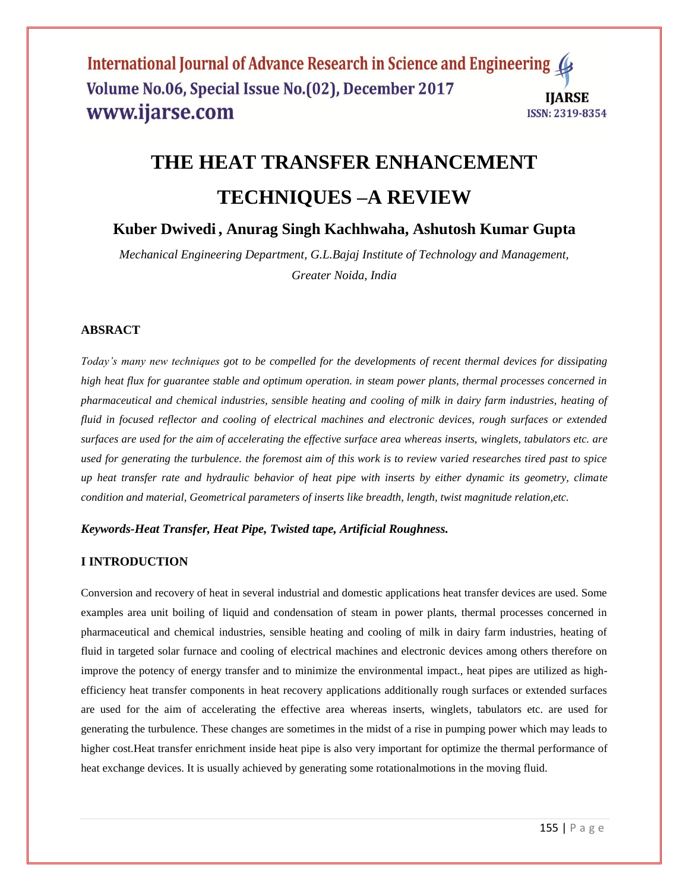# **THE HEAT TRANSFER ENHANCEMENT TECHNIQUES –A REVIEW**

**Kuber Dwivedi , Anurag Singh Kachhwaha, Ashutosh Kumar Gupta**

*Mechanical Engineering Department, G.L.Bajaj Institute of Technology and Management, Greater Noida, India*

## **ABSRACT**

*Today's many new techniques got to be compelled for the developments of recent thermal devices for dissipating high heat flux for guarantee stable and optimum operation. in steam power plants, thermal processes concerned in pharmaceutical and chemical industries, sensible heating and cooling of milk in dairy farm industries, heating of fluid in focused reflector and cooling of electrical machines and electronic devices, rough surfaces or extended surfaces are used for the aim of accelerating the effective surface area whereas inserts, winglets, tabulators etc. are used for generating the turbulence. the foremost aim of this work is to review varied researches tired past to spice up heat transfer rate and hydraulic behavior of heat pipe with inserts by either dynamic its geometry, climate condition and material, Geometrical parameters of inserts like breadth, length, twist magnitude relation,etc.*

*Keywords-Heat Transfer, Heat Pipe, Twisted tape, Artificial Roughness.*

## **I INTRODUCTION**

Conversion and recovery of heat in several industrial and domestic applications heat transfer devices are used. Some examples area unit boiling of liquid and condensation of steam in power plants, thermal processes concerned in pharmaceutical and chemical industries, sensible heating and cooling of milk in dairy farm industries, heating of fluid in targeted solar furnace and cooling of electrical machines and electronic devices among others therefore on improve the potency of energy transfer and to minimize the environmental impact., heat pipes are utilized as highefficiency heat transfer components in heat recovery applications additionally rough surfaces or extended surfaces are used for the aim of accelerating the effective area whereas inserts, winglets, tabulators etc. are used for generating the turbulence. These changes are sometimes in the midst of a rise in pumping power which may leads to higher cost.Heat transfer enrichment inside heat pipe is also very important for optimize the thermal performance of heat exchange devices. It is usually achieved by generating some rotationalmotions in the moving fluid.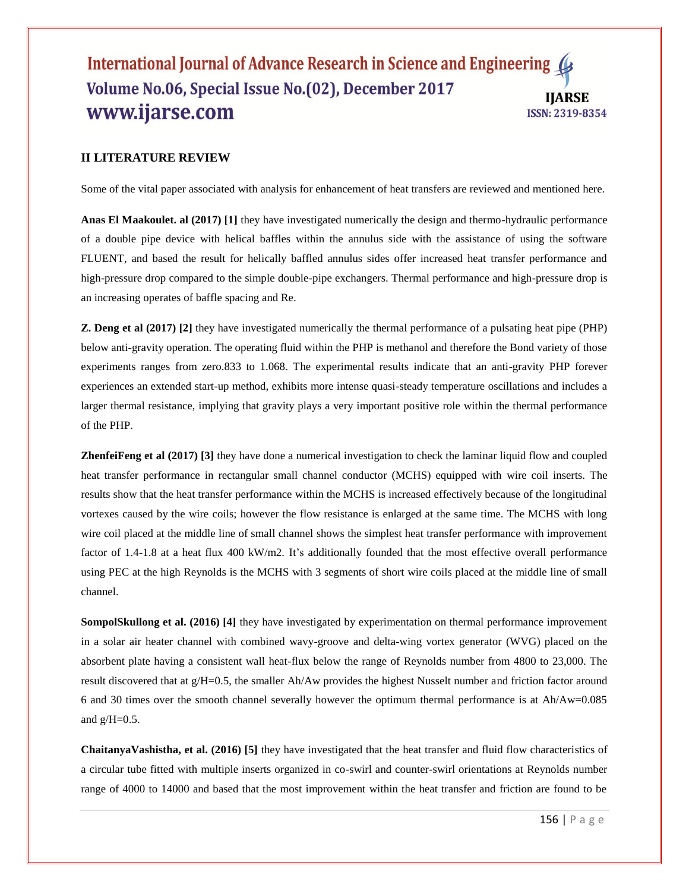## **II LITERATURE REVIEW**

Some of the vital paper associated with analysis for enhancement of heat transfers are reviewed and mentioned here.

**Anas El Maakoulet. al (2017) [1]** they have investigated numerically the design and thermo-hydraulic performance of a double pipe device with helical baffles within the annulus side with the assistance of using the software FLUENT, and based the result for helically baffled annulus sides offer increased heat transfer performance and high-pressure drop compared to the simple double-pipe exchangers. Thermal performance and high-pressure drop is an increasing operates of baffle spacing and Re.

**Z. Deng et al (2017) [2]** they have investigated numerically the thermal performance of a pulsating heat pipe (PHP) below anti-gravity operation. The operating fluid within the PHP is methanol and therefore the Bond variety of those experiments ranges from zero.833 to 1.068. The experimental results indicate that an anti-gravity PHP forever experiences an extended start-up method, exhibits more intense quasi-steady temperature oscillations and includes a larger thermal resistance, implying that gravity plays a very important positive role within the thermal performance of the PHP.

**ZhenfeiFeng et al (2017) [3]** they have done a numerical investigation to check the laminar liquid flow and coupled heat transfer performance in rectangular small channel conductor (MCHS) equipped with wire coil inserts. The results show that the heat transfer performance within the MCHS is increased effectively because of the longitudinal vortexes caused by the wire coils; however the flow resistance is enlarged at the same time. The MCHS with long wire coil placed at the middle line of small channel shows the simplest heat transfer performance with improvement factor of 1.4-1.8 at a heat flux 400 kW/m2. It's additionally founded that the most effective overall performance using PEC at the high Reynolds is the MCHS with 3 segments of short wire coils placed at the middle line of small channel.

**SompolSkullong et al. (2016) [4]** they have investigated by experimentation on thermal performance improvement in a solar air heater channel with combined wavy-groove and delta-wing vortex generator (WVG) placed on the absorbent plate having a consistent wall heat-flux below the range of Reynolds number from 4800 to 23,000. The result discovered that at g/H=0.5, the smaller Ah/Aw provides the highest Nusselt number and friction factor around 6 and 30 times over the smooth channel severally however the optimum thermal performance is at Ah/Aw=0.085 and  $g/H=0.5$ .

**ChaitanyaVashistha, et al. (2016) [5]** they have investigated that the heat transfer and fluid flow characteristics of a circular tube fitted with multiple inserts organized in co-swirl and counter-swirl orientations at Reynolds number range of 4000 to 14000 and based that the most improvement within the heat transfer and friction are found to be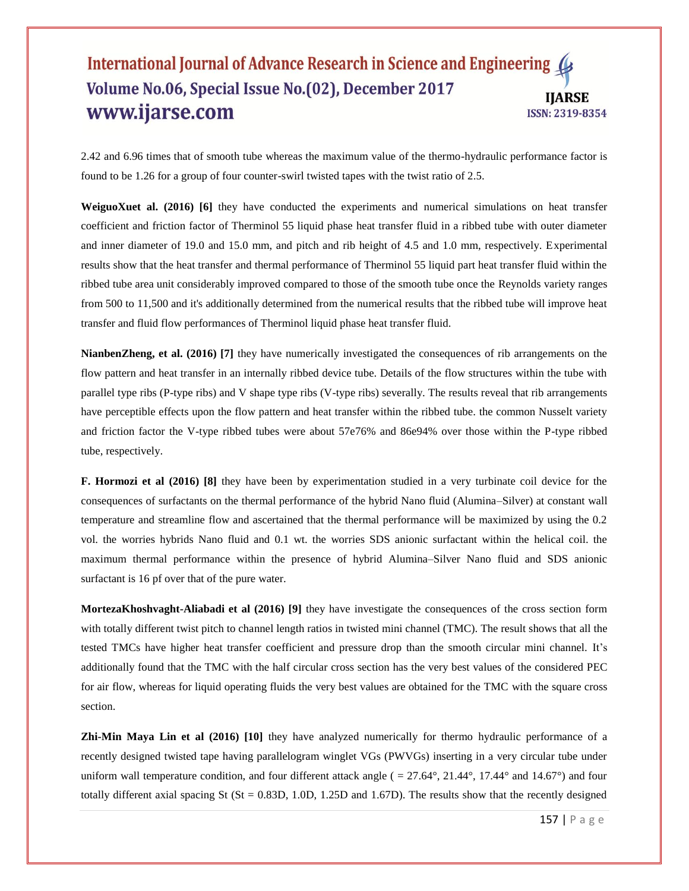2.42 and 6.96 times that of smooth tube whereas the maximum value of the thermo-hydraulic performance factor is found to be 1.26 for a group of four counter-swirl twisted tapes with the twist ratio of 2.5.

**WeiguoXuet al. (2016) [6]** they have conducted the experiments and numerical simulations on heat transfer coefficient and friction factor of Therminol 55 liquid phase heat transfer fluid in a ribbed tube with outer diameter and inner diameter of 19.0 and 15.0 mm, and pitch and rib height of 4.5 and 1.0 mm, respectively. Experimental results show that the heat transfer and thermal performance of Therminol 55 liquid part heat transfer fluid within the ribbed tube area unit considerably improved compared to those of the smooth tube once the Reynolds variety ranges from 500 to 11,500 and it's additionally determined from the numerical results that the ribbed tube will improve heat transfer and fluid flow performances of Therminol liquid phase heat transfer fluid.

**NianbenZheng, et al. (2016) [7]** they have numerically investigated the consequences of rib arrangements on the flow pattern and heat transfer in an internally ribbed device tube. Details of the flow structures within the tube with parallel type ribs (P-type ribs) and V shape type ribs (V-type ribs) severally. The results reveal that rib arrangements have perceptible effects upon the flow pattern and heat transfer within the ribbed tube. the common Nusselt variety and friction factor the V-type ribbed tubes were about 57e76% and 86e94% over those within the P-type ribbed tube, respectively.

**F. Hormozi et al (2016) [8]** they have been by experimentation studied in a very turbinate coil device for the consequences of surfactants on the thermal performance of the hybrid Nano fluid (Alumina–Silver) at constant wall temperature and streamline flow and ascertained that the thermal performance will be maximized by using the 0.2 vol. the worries hybrids Nano fluid and 0.1 wt. the worries SDS anionic surfactant within the helical coil. the maximum thermal performance within the presence of hybrid Alumina–Silver Nano fluid and SDS anionic surfactant is 16 pf over that of the pure water.

**MortezaKhoshvaght-Aliabadi et al (2016) [9]** they have investigate the consequences of the cross section form with totally different twist pitch to channel length ratios in twisted mini channel (TMC). The result shows that all the tested TMCs have higher heat transfer coefficient and pressure drop than the smooth circular mini channel. It"s additionally found that the TMC with the half circular cross section has the very best values of the considered PEC for air flow, whereas for liquid operating fluids the very best values are obtained for the TMC with the square cross section.

**Zhi-Min Maya Lin et al (2016) [10]** they have analyzed numerically for thermo hydraulic performance of a recently designed twisted tape having parallelogram winglet VGs (PWVGs) inserting in a very circular tube under uniform wall temperature condition, and four different attack angle ( $= 27.64^{\circ}, 21.44^{\circ}, 17.44^{\circ}$  and  $14.67^{\circ}$ ) and four totally different axial spacing St ( $St = 0.83D$ , 1.0D, 1.25D and 1.67D). The results show that the recently designed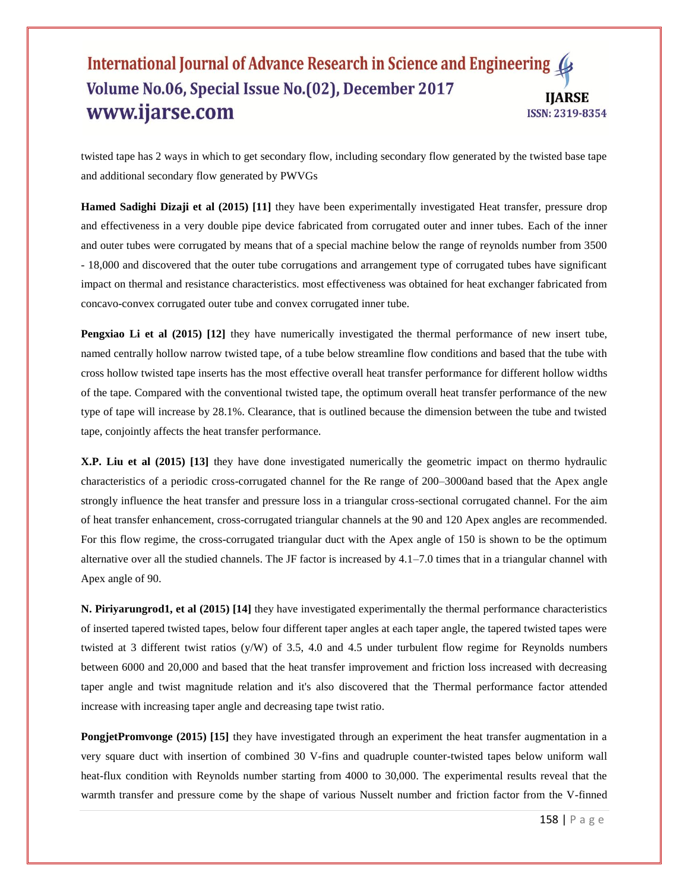twisted tape has 2 ways in which to get secondary flow, including secondary flow generated by the twisted base tape and additional secondary flow generated by PWVGs

**Hamed Sadighi Dizaji et al (2015) [11]** they have been experimentally investigated Heat transfer, pressure drop and effectiveness in a very double pipe device fabricated from corrugated outer and inner tubes. Each of the inner and outer tubes were corrugated by means that of a special machine below the range of reynolds number from 3500 - 18,000 and discovered that the outer tube corrugations and arrangement type of corrugated tubes have significant impact on thermal and resistance characteristics. most effectiveness was obtained for heat exchanger fabricated from concavo-convex corrugated outer tube and convex corrugated inner tube.

**Pengxiao Li et al (2015)** [12] they have numerically investigated the thermal performance of new insert tube, named centrally hollow narrow twisted tape, of a tube below streamline flow conditions and based that the tube with cross hollow twisted tape inserts has the most effective overall heat transfer performance for different hollow widths of the tape. Compared with the conventional twisted tape, the optimum overall heat transfer performance of the new type of tape will increase by 28.1%. Clearance, that is outlined because the dimension between the tube and twisted tape, conjointly affects the heat transfer performance.

**X.P. Liu et al (2015) [13]** they have done investigated numerically the geometric impact on thermo hydraulic characteristics of a periodic cross-corrugated channel for the Re range of 200–3000and based that the Apex angle strongly influence the heat transfer and pressure loss in a triangular cross-sectional corrugated channel. For the aim of heat transfer enhancement, cross-corrugated triangular channels at the 90 and 120 Apex angles are recommended. For this flow regime, the cross-corrugated triangular duct with the Apex angle of 150 is shown to be the optimum alternative over all the studied channels. The JF factor is increased by  $4.1-7.0$  times that in a triangular channel with Apex angle of 90.

**N. Piriyarungrod1, et al (2015) [14]** they have investigated experimentally the thermal performance characteristics of inserted tapered twisted tapes, below four different taper angles at each taper angle, the tapered twisted tapes were twisted at 3 different twist ratios (y/W) of 3.5, 4.0 and 4.5 under turbulent flow regime for Reynolds numbers between 6000 and 20,000 and based that the heat transfer improvement and friction loss increased with decreasing taper angle and twist magnitude relation and it's also discovered that the Thermal performance factor attended increase with increasing taper angle and decreasing tape twist ratio.

**PongjetPromvonge (2015) [15]** they have investigated through an experiment the heat transfer augmentation in a very square duct with insertion of combined 30 V-fins and quadruple counter-twisted tapes below uniform wall heat-flux condition with Reynolds number starting from 4000 to 30,000. The experimental results reveal that the warmth transfer and pressure come by the shape of various Nusselt number and friction factor from the V-finned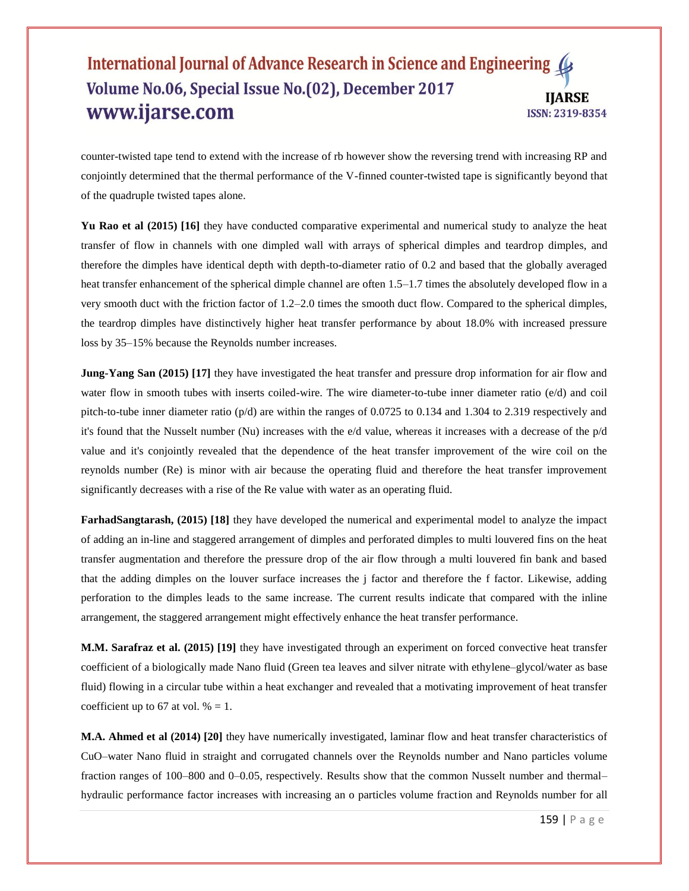counter-twisted tape tend to extend with the increase of rb however show the reversing trend with increasing RP and conjointly determined that the thermal performance of the V-finned counter-twisted tape is significantly beyond that of the quadruple twisted tapes alone.

Yu Rao et al (2015) [16] they have conducted comparative experimental and numerical study to analyze the heat transfer of flow in channels with one dimpled wall with arrays of spherical dimples and teardrop dimples, and therefore the dimples have identical depth with depth-to-diameter ratio of 0.2 and based that the globally averaged heat transfer enhancement of the spherical dimple channel are often 1.5–1.7 times the absolutely developed flow in a very smooth duct with the friction factor of 1.2–2.0 times the smooth duct flow. Compared to the spherical dimples, the teardrop dimples have distinctively higher heat transfer performance by about 18.0% with increased pressure loss by 35–15% because the Reynolds number increases.

**Jung-Yang San (2015)** [17] they have investigated the heat transfer and pressure drop information for air flow and water flow in smooth tubes with inserts coiled-wire. The wire diameter-to-tube inner diameter ratio (e/d) and coil pitch-to-tube inner diameter ratio (p/d) are within the ranges of 0.0725 to 0.134 and 1.304 to 2.319 respectively and it's found that the Nusselt number (Nu) increases with the e/d value, whereas it increases with a decrease of the p/d value and it's conjointly revealed that the dependence of the heat transfer improvement of the wire coil on the reynolds number (Re) is minor with air because the operating fluid and therefore the heat transfer improvement significantly decreases with a rise of the Re value with water as an operating fluid.

**FarhadSangtarash, (2015) [18]** they have developed the numerical and experimental model to analyze the impact of adding an in-line and staggered arrangement of dimples and perforated dimples to multi louvered fins on the heat transfer augmentation and therefore the pressure drop of the air flow through a multi louvered fin bank and based that the adding dimples on the louver surface increases the j factor and therefore the f factor. Likewise, adding perforation to the dimples leads to the same increase. The current results indicate that compared with the inline arrangement, the staggered arrangement might effectively enhance the heat transfer performance.

**M.M. Sarafraz et al. (2015) [19]** they have investigated through an experiment on forced convective heat transfer coefficient of a biologically made Nano fluid (Green tea leaves and silver nitrate with ethylene–glycol/water as base fluid) flowing in a circular tube within a heat exchanger and revealed that a motivating improvement of heat transfer coefficient up to 67 at vol.  $% = 1$ .

**M.A. Ahmed et al (2014) [20]** they have numerically investigated, laminar flow and heat transfer characteristics of CuO–water Nano fluid in straight and corrugated channels over the Reynolds number and Nano particles volume fraction ranges of 100–800 and 0–0.05, respectively. Results show that the common Nusselt number and thermal– hydraulic performance factor increases with increasing an o particles volume fraction and Reynolds number for all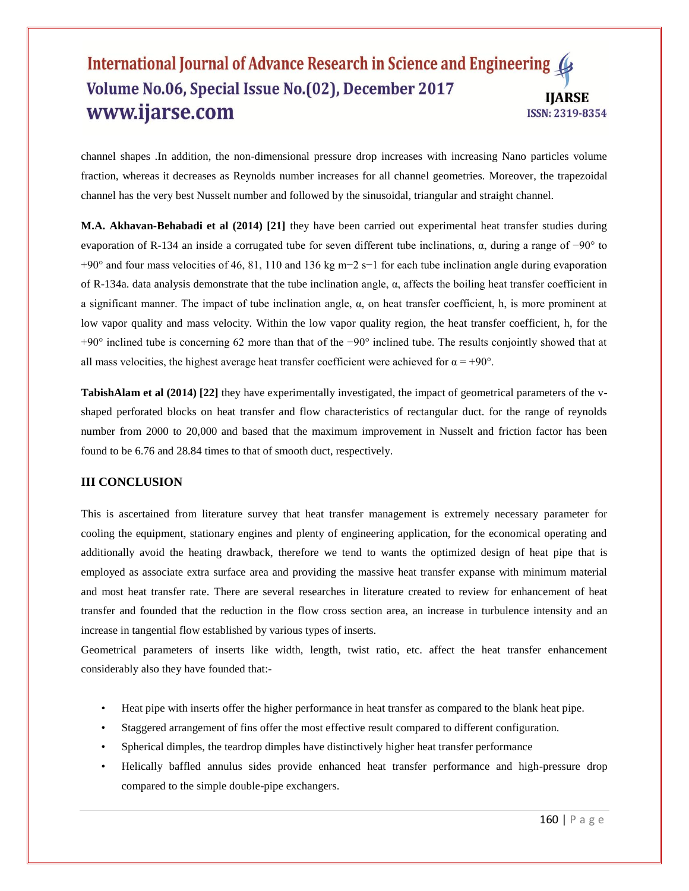channel shapes .In addition, the non-dimensional pressure drop increases with increasing Nano particles volume fraction, whereas it decreases as Reynolds number increases for all channel geometries. Moreover, the trapezoidal channel has the very best Nusselt number and followed by the sinusoidal, triangular and straight channel.

**M.A. Akhavan-Behabadi et al (2014) [21]** they have been carried out experimental heat transfer studies during evaporation of R-134 an inside a corrugated tube for seven different tube inclinations, α, during a range of −90° to +90° and four mass velocities of 46, 81, 110 and 136 kg m−2 s−1 for each tube inclination angle during evaporation of R-134a. data analysis demonstrate that the tube inclination angle, α, affects the boiling heat transfer coefficient in a significant manner. The impact of tube inclination angle, α, on heat transfer coefficient, h, is more prominent at low vapor quality and mass velocity. Within the low vapor quality region, the heat transfer coefficient, h, for the +90° inclined tube is concerning 62 more than that of the −90° inclined tube. The results conjointly showed that at all mass velocities, the highest average heat transfer coefficient were achieved for  $\alpha = +90^{\circ}$ .

**TabishAlam et al (2014) [22]** they have experimentally investigated, the impact of geometrical parameters of the vshaped perforated blocks on heat transfer and flow characteristics of rectangular duct. for the range of reynolds number from 2000 to 20,000 and based that the maximum improvement in Nusselt and friction factor has been found to be 6.76 and 28.84 times to that of smooth duct, respectively.

## **III CONCLUSION**

This is ascertained from literature survey that heat transfer management is extremely necessary parameter for cooling the equipment, stationary engines and plenty of engineering application, for the economical operating and additionally avoid the heating drawback, therefore we tend to wants the optimized design of heat pipe that is employed as associate extra surface area and providing the massive heat transfer expanse with minimum material and most heat transfer rate. There are several researches in literature created to review for enhancement of heat transfer and founded that the reduction in the flow cross section area, an increase in turbulence intensity and an increase in tangential flow established by various types of inserts.

Geometrical parameters of inserts like width, length, twist ratio, etc. affect the heat transfer enhancement considerably also they have founded that:-

- Heat pipe with inserts offer the higher performance in heat transfer as compared to the blank heat pipe.
- Staggered arrangement of fins offer the most effective result compared to different configuration.
- Spherical dimples, the teardrop dimples have distinctively higher heat transfer performance
- Helically baffled annulus sides provide enhanced heat transfer performance and high-pressure drop compared to the simple double-pipe exchangers.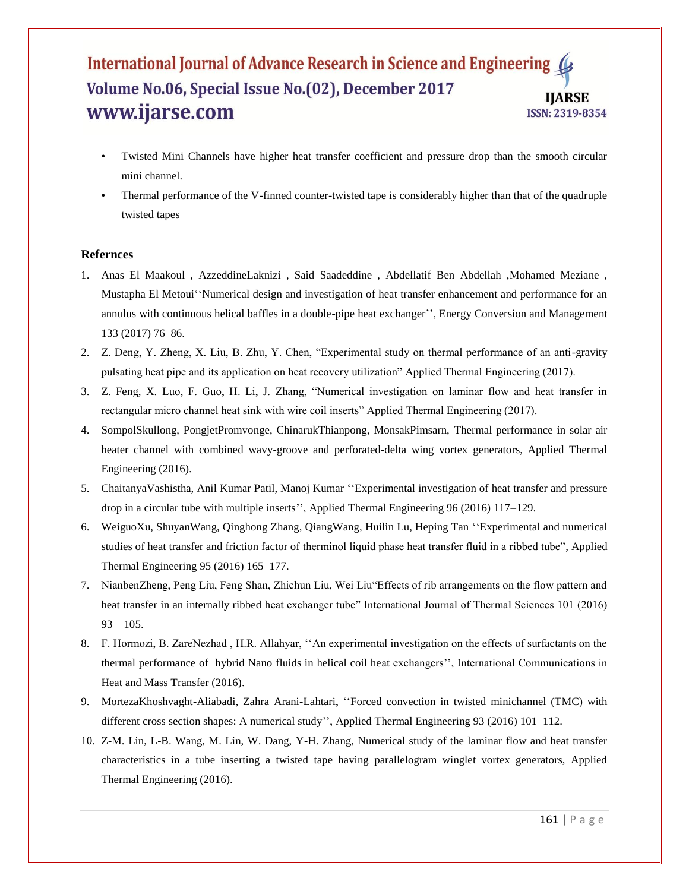- Twisted Mini Channels have higher heat transfer coefficient and pressure drop than the smooth circular mini channel.
- Thermal performance of the V-finned counter-twisted tape is considerably higher than that of the quadruple twisted tapes

#### **Refernces**

- 1. Anas El Maakoul , AzzeddineLaknizi , Said Saadeddine , Abdellatif Ben Abdellah ,Mohamed Meziane , Mustapha El Metoui""Numerical design and investigation of heat transfer enhancement and performance for an annulus with continuous helical baffles in a double-pipe heat exchanger"", Energy Conversion and Management 133 (2017) 76–86.
- 2. Z. Deng, Y. Zheng, X. Liu, B. Zhu, Y. Chen, "Experimental study on thermal performance of an anti-gravity pulsating heat pipe and its application on heat recovery utilization" Applied Thermal Engineering (2017).
- 3. Z. Feng, X. Luo, F. Guo, H. Li, J. Zhang, "Numerical investigation on laminar flow and heat transfer in rectangular micro channel heat sink with wire coil inserts" Applied Thermal Engineering (2017).
- 4. SompolSkullong, PongjetPromvonge, ChinarukThianpong, MonsakPimsarn, Thermal performance in solar air heater channel with combined wavy-groove and perforated-delta wing vortex generators, Applied Thermal Engineering (2016).
- 5. ChaitanyaVashistha, Anil Kumar Patil, Manoj Kumar ""Experimental investigation of heat transfer and pressure drop in a circular tube with multiple inserts", Applied Thermal Engineering 96 (2016) 117–129.
- 6. WeiguoXu, ShuyanWang, Qinghong Zhang, QiangWang, Huilin Lu, Heping Tan ""Experimental and numerical studies of heat transfer and friction factor of therminol liquid phase heat transfer fluid in a ribbed tube", Applied Thermal Engineering 95 (2016) 165–177.
- 7. NianbenZheng, Peng Liu, Feng Shan, Zhichun Liu, Wei Liu"Effects of rib arrangements on the flow pattern and heat transfer in an internally ribbed heat exchanger tube" International Journal of Thermal Sciences 101 (2016)  $93 - 105$ .
- 8. F. Hormozi, B. ZareNezhad , H.R. Allahyar, ""An experimental investigation on the effects of surfactants on the thermal performance of hybrid Nano fluids in helical coil heat exchangers"", International Communications in Heat and Mass Transfer (2016).
- 9. MortezaKhoshvaght-Aliabadi, Zahra Arani-Lahtari, ""Forced convection in twisted minichannel (TMC) with different cross section shapes: A numerical study", Applied Thermal Engineering 93 (2016) 101–112.
- 10. Z-M. Lin, L-B. Wang, M. Lin, W. Dang, Y-H. Zhang, Numerical study of the laminar flow and heat transfer characteristics in a tube inserting a twisted tape having parallelogram winglet vortex generators, Applied Thermal Engineering (2016).